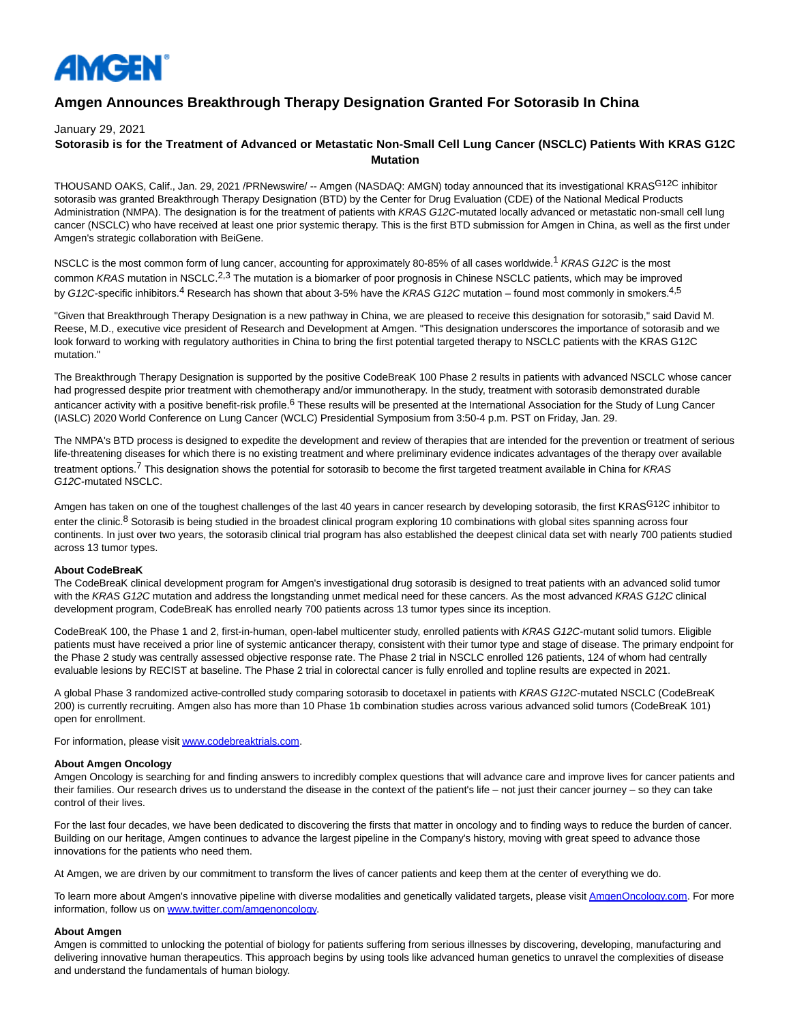

# **Amgen Announces Breakthrough Therapy Designation Granted For Sotorasib In China**

January 29, 2021

## **Sotorasib is for the Treatment of Advanced or Metastatic Non-Small Cell Lung Cancer (NSCLC) Patients With KRAS G12C Mutation**

THOUSAND OAKS, Calif., Jan. 29, 2021 /PRNewswire/ -- Amgen (NASDAQ: AMGN) today announced that its investigational KRAS<sup>G12C</sup> inhibitor sotorasib was granted Breakthrough Therapy Designation (BTD) by the Center for Drug Evaluation (CDE) of the National Medical Products Administration (NMPA). The designation is for the treatment of patients with KRAS G12C-mutated locally advanced or metastatic non-small cell lung cancer (NSCLC) who have received at least one prior systemic therapy. This is the first BTD submission for Amgen in China, as well as the first under Amgen's strategic collaboration with BeiGene.

NSCLC is the most common form of lung cancer, accounting for approximately 80-85% of all cases worldwide.<sup>1</sup> KRAS G12C is the most common KRAS mutation in NSCLC.<sup>2,3</sup> The mutation is a biomarker of poor prognosis in Chinese NSCLC patients, which may be improved by G12C-specific inhibitors.<sup>4</sup> Research has shown that about 3-5% have the KRAS G12C mutation – found most commonly in smokers.<sup>4,5</sup>

"Given that Breakthrough Therapy Designation is a new pathway in China, we are pleased to receive this designation for sotorasib," said David M. Reese, M.D., executive vice president of Research and Development at Amgen. "This designation underscores the importance of sotorasib and we look forward to working with regulatory authorities in China to bring the first potential targeted therapy to NSCLC patients with the KRAS G12C mutation."

The Breakthrough Therapy Designation is supported by the positive CodeBreaK 100 Phase 2 results in patients with advanced NSCLC whose cancer had progressed despite prior treatment with chemotherapy and/or immunotherapy. In the study, treatment with sotorasib demonstrated durable anticancer activity with a positive benefit-risk profile.<sup>6</sup> These results will be presented at the International Association for the Study of Lung Cancer (IASLC) 2020 World Conference on Lung Cancer (WCLC) Presidential Symposium from 3:50-4 p.m. PST on Friday, Jan. 29.

The NMPA's BTD process is designed to expedite the development and review of therapies that are intended for the prevention or treatment of serious life-threatening diseases for which there is no existing treatment and where preliminary evidence indicates advantages of the therapy over available treatment options.<sup>7</sup> This designation shows the potential for sotorasib to become the first targeted treatment available in China for KRAS G12C-mutated NSCLC.

Amgen has taken on one of the toughest challenges of the last 40 years in cancer research by developing sotorasib, the first KRAS<sup>G12C</sup> inhibitor to enter the clinic.<sup>8</sup> Sotorasib is being studied in the broadest clinical program exploring 10 combinations with global sites spanning across four continents. In just over two years, the sotorasib clinical trial program has also established the deepest clinical data set with nearly 700 patients studied across 13 tumor types.

#### **About CodeBreaK**

The CodeBreaK clinical development program for Amgen's investigational drug sotorasib is designed to treat patients with an advanced solid tumor with the KRAS G12C mutation and address the longstanding unmet medical need for these cancers. As the most advanced KRAS G12C clinical development program, CodeBreaK has enrolled nearly 700 patients across 13 tumor types since its inception.

CodeBreaK 100, the Phase 1 and 2, first-in-human, open-label multicenter study, enrolled patients with KRAS G12C-mutant solid tumors. Eligible patients must have received a prior line of systemic anticancer therapy, consistent with their tumor type and stage of disease. The primary endpoint for the Phase 2 study was centrally assessed objective response rate. The Phase 2 trial in NSCLC enrolled 126 patients, 124 of whom had centrally evaluable lesions by RECIST at baseline. The Phase 2 trial in colorectal cancer is fully enrolled and topline results are expected in 2021.

A global Phase 3 randomized active-controlled study comparing sotorasib to docetaxel in patients with KRAS G12C-mutated NSCLC (CodeBreaK 200) is currently recruiting. Amgen also has more than 10 Phase 1b combination studies across various advanced solid tumors (CodeBreaK 101) open for enrollment.

For information, please visi[t www.codebreaktrials.com.](https://c212.net/c/link/?t=0&l=en&o=3044205-1&h=3436621085&u=https%3A%2F%2Fc212.net%2Fc%2Flink%2F%3Ft%3D0%26l%3Den%26o%3D3004584-1%26h%3D1725752944%26u%3Dhttp%253A%252F%252Fwww.codebreaktrials.com%252F%26a%3Dwww.codebreaktrials.com&a=www.codebreaktrials.com)

#### **About Amgen Oncology**

Amgen Oncology is searching for and finding answers to incredibly complex questions that will advance care and improve lives for cancer patients and their families. Our research drives us to understand the disease in the context of the patient's life – not just their cancer journey – so they can take control of their lives.

For the last four decades, we have been dedicated to discovering the firsts that matter in oncology and to finding ways to reduce the burden of cancer. Building on our heritage, Amgen continues to advance the largest pipeline in the Company's history, moving with great speed to advance those innovations for the patients who need them.

At Amgen, we are driven by our commitment to transform the lives of cancer patients and keep them at the center of everything we do.

To learn more about Amgen's innovative pipeline with diverse modalities and genetically validated targets, please visi[t AmgenOncology.com.](https://c212.net/c/link/?t=0&l=en&o=3044205-1&h=1689479445&u=http%3A%2F%2Famgenoncology.com%2F&a=AmgenOncology.com) For more information, follow us on [www.twitter.com/amgenoncology.](https://c212.net/c/link/?t=0&l=en&o=3044205-1&h=2139879355&u=https%3A%2F%2Fc212.net%2Fc%2Flink%2F%3Ft%3D0%26l%3Den%26o%3D3004584-1%26h%3D2506483761%26u%3Dhttps%253A%252F%252Fwww.twitter.com%252Famgenoncology%26a%3Dwww.twitter.com%252Famgenoncology&a=www.twitter.com%2Famgenoncology)

#### **About Amgen**

Amgen is committed to unlocking the potential of biology for patients suffering from serious illnesses by discovering, developing, manufacturing and delivering innovative human therapeutics. This approach begins by using tools like advanced human genetics to unravel the complexities of disease and understand the fundamentals of human biology.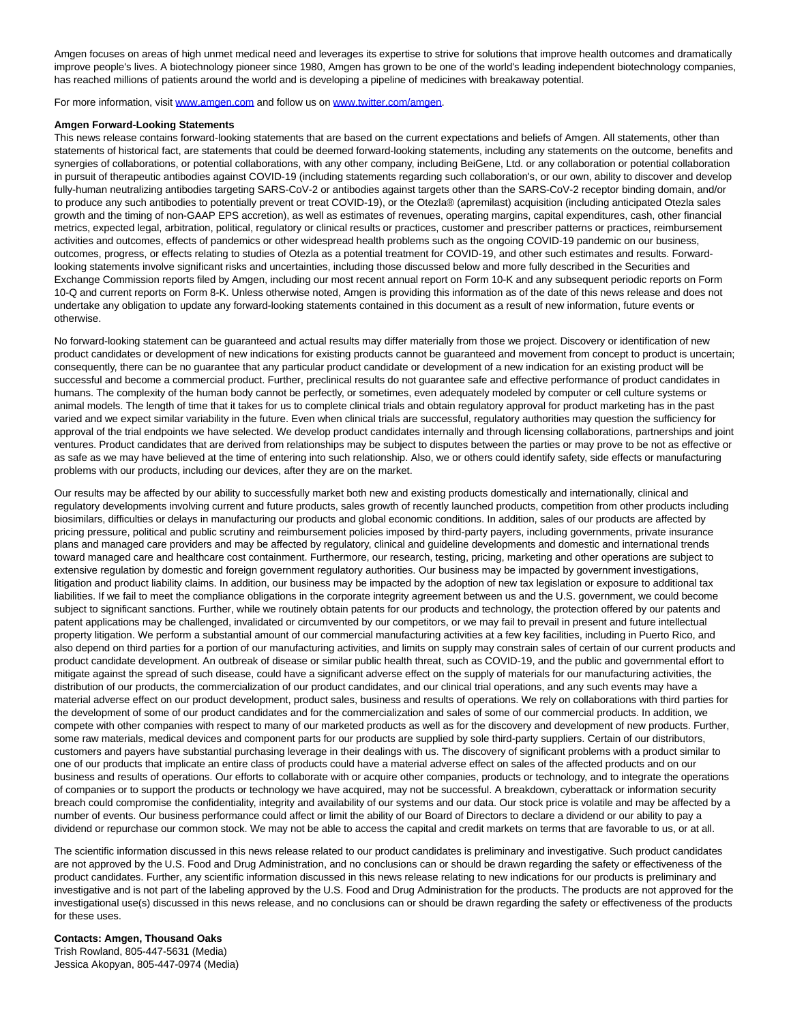Amgen focuses on areas of high unmet medical need and leverages its expertise to strive for solutions that improve health outcomes and dramatically improve people's lives. A biotechnology pioneer since 1980, Amgen has grown to be one of the world's leading independent biotechnology companies, has reached millions of patients around the world and is developing a pipeline of medicines with breakaway potential.

For more information, visit [www.amgen.com a](https://c212.net/c/link/?t=0&l=en&o=3044205-1&h=39175551&u=https%3A%2F%2Fc212.net%2Fc%2Flink%2F%3Ft%3D0%26l%3Den%26o%3D3004584-1%26h%3D1335228479%26u%3Dhttp%253A%252F%252Fwww.amgen.com%252F%26a%3Dwww.amgen.com&a=www.amgen.com)nd follow us on [www.twitter.com/amgen.](https://c212.net/c/link/?t=0&l=en&o=3044205-1&h=2579526321&u=https%3A%2F%2Fc212.net%2Fc%2Flink%2F%3Ft%3D0%26l%3Den%26o%3D3004584-1%26h%3D357751552%26u%3Dhttp%253A%252F%252Fwww.twitter.com%252Famgen%26a%3Dwww.twitter.com%252Famgen&a=www.twitter.com%2Famgen)

#### **Amgen Forward-Looking Statements**

This news release contains forward-looking statements that are based on the current expectations and beliefs of Amgen. All statements, other than statements of historical fact, are statements that could be deemed forward-looking statements, including any statements on the outcome, benefits and synergies of collaborations, or potential collaborations, with any other company, including BeiGene, Ltd. or any collaboration or potential collaboration in pursuit of therapeutic antibodies against COVID-19 (including statements regarding such collaboration's, or our own, ability to discover and develop fully-human neutralizing antibodies targeting SARS-CoV-2 or antibodies against targets other than the SARS-CoV-2 receptor binding domain, and/or to produce any such antibodies to potentially prevent or treat COVID-19), or the Otezla® (apremilast) acquisition (including anticipated Otezla sales growth and the timing of non-GAAP EPS accretion), as well as estimates of revenues, operating margins, capital expenditures, cash, other financial metrics, expected legal, arbitration, political, regulatory or clinical results or practices, customer and prescriber patterns or practices, reimbursement activities and outcomes, effects of pandemics or other widespread health problems such as the ongoing COVID-19 pandemic on our business, outcomes, progress, or effects relating to studies of Otezla as a potential treatment for COVID-19, and other such estimates and results. Forwardlooking statements involve significant risks and uncertainties, including those discussed below and more fully described in the Securities and Exchange Commission reports filed by Amgen, including our most recent annual report on Form 10-K and any subsequent periodic reports on Form 10-Q and current reports on Form 8-K. Unless otherwise noted, Amgen is providing this information as of the date of this news release and does not undertake any obligation to update any forward-looking statements contained in this document as a result of new information, future events or otherwise.

No forward-looking statement can be guaranteed and actual results may differ materially from those we project. Discovery or identification of new product candidates or development of new indications for existing products cannot be guaranteed and movement from concept to product is uncertain; consequently, there can be no guarantee that any particular product candidate or development of a new indication for an existing product will be successful and become a commercial product. Further, preclinical results do not guarantee safe and effective performance of product candidates in humans. The complexity of the human body cannot be perfectly, or sometimes, even adequately modeled by computer or cell culture systems or animal models. The length of time that it takes for us to complete clinical trials and obtain regulatory approval for product marketing has in the past varied and we expect similar variability in the future. Even when clinical trials are successful, regulatory authorities may question the sufficiency for approval of the trial endpoints we have selected. We develop product candidates internally and through licensing collaborations, partnerships and joint ventures. Product candidates that are derived from relationships may be subject to disputes between the parties or may prove to be not as effective or as safe as we may have believed at the time of entering into such relationship. Also, we or others could identify safety, side effects or manufacturing problems with our products, including our devices, after they are on the market.

Our results may be affected by our ability to successfully market both new and existing products domestically and internationally, clinical and regulatory developments involving current and future products, sales growth of recently launched products, competition from other products including biosimilars, difficulties or delays in manufacturing our products and global economic conditions. In addition, sales of our products are affected by pricing pressure, political and public scrutiny and reimbursement policies imposed by third-party payers, including governments, private insurance plans and managed care providers and may be affected by regulatory, clinical and guideline developments and domestic and international trends toward managed care and healthcare cost containment. Furthermore, our research, testing, pricing, marketing and other operations are subject to extensive regulation by domestic and foreign government regulatory authorities. Our business may be impacted by government investigations, litigation and product liability claims. In addition, our business may be impacted by the adoption of new tax legislation or exposure to additional tax liabilities. If we fail to meet the compliance obligations in the corporate integrity agreement between us and the U.S. government, we could become subject to significant sanctions. Further, while we routinely obtain patents for our products and technology, the protection offered by our patents and patent applications may be challenged, invalidated or circumvented by our competitors, or we may fail to prevail in present and future intellectual property litigation. We perform a substantial amount of our commercial manufacturing activities at a few key facilities, including in Puerto Rico, and also depend on third parties for a portion of our manufacturing activities, and limits on supply may constrain sales of certain of our current products and product candidate development. An outbreak of disease or similar public health threat, such as COVID-19, and the public and governmental effort to mitigate against the spread of such disease, could have a significant adverse effect on the supply of materials for our manufacturing activities, the distribution of our products, the commercialization of our product candidates, and our clinical trial operations, and any such events may have a material adverse effect on our product development, product sales, business and results of operations. We rely on collaborations with third parties for the development of some of our product candidates and for the commercialization and sales of some of our commercial products. In addition, we compete with other companies with respect to many of our marketed products as well as for the discovery and development of new products. Further, some raw materials, medical devices and component parts for our products are supplied by sole third-party suppliers. Certain of our distributors, customers and payers have substantial purchasing leverage in their dealings with us. The discovery of significant problems with a product similar to one of our products that implicate an entire class of products could have a material adverse effect on sales of the affected products and on our business and results of operations. Our efforts to collaborate with or acquire other companies, products or technology, and to integrate the operations of companies or to support the products or technology we have acquired, may not be successful. A breakdown, cyberattack or information security breach could compromise the confidentiality, integrity and availability of our systems and our data. Our stock price is volatile and may be affected by a number of events. Our business performance could affect or limit the ability of our Board of Directors to declare a dividend or our ability to pay a dividend or repurchase our common stock. We may not be able to access the capital and credit markets on terms that are favorable to us, or at all.

The scientific information discussed in this news release related to our product candidates is preliminary and investigative. Such product candidates are not approved by the U.S. Food and Drug Administration, and no conclusions can or should be drawn regarding the safety or effectiveness of the product candidates. Further, any scientific information discussed in this news release relating to new indications for our products is preliminary and investigative and is not part of the labeling approved by the U.S. Food and Drug Administration for the products. The products are not approved for the investigational use(s) discussed in this news release, and no conclusions can or should be drawn regarding the safety or effectiveness of the products for these uses.

**Contacts: Amgen, Thousand Oaks** Trish Rowland, 805-447-5631 (Media) Jessica Akopyan, 805-447-0974 (Media)